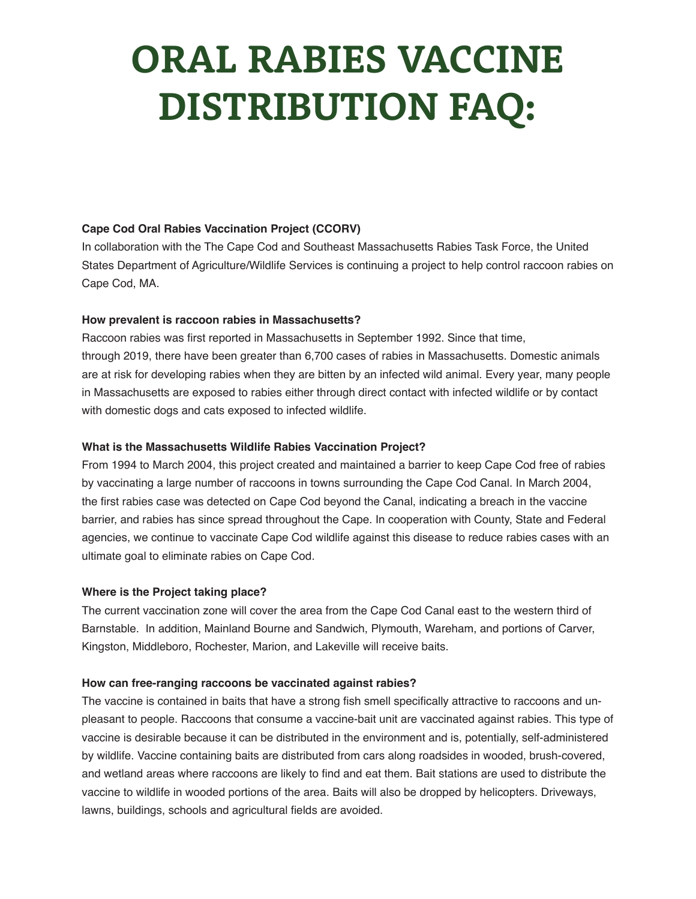# **ORAL RABIES VACCINE DISTRIBUTION FAQ:**

# **Cape Cod Oral Rabies Vaccination Project (CCORV)**

In collaboration with the The Cape Cod and Southeast Massachusetts Rabies Task Force, the United States Department of Agriculture/Wildlife Services is continuing a project to help control raccoon rabies on Cape Cod, MA.

#### **How prevalent is raccoon rabies in Massachusetts?**

Raccoon rabies was first reported in Massachusetts in September 1992. Since that time, through 2019, there have been greater than 6,700 cases of rabies in Massachusetts. Domestic animals are at risk for developing rabies when they are bitten by an infected wild animal. Every year, many people in Massachusetts are exposed to rabies either through direct contact with infected wildlife or by contact with domestic dogs and cats exposed to infected wildlife.

### **What is the Massachusetts Wildlife Rabies Vaccination Project?**

From 1994 to March 2004, this project created and maintained a barrier to keep Cape Cod free of rabies by vaccinating a large number of raccoons in towns surrounding the Cape Cod Canal. In March 2004, the first rabies case was detected on Cape Cod beyond the Canal, indicating a breach in the vaccine barrier, and rabies has since spread throughout the Cape. In cooperation with County, State and Federal agencies, we continue to vaccinate Cape Cod wildlife against this disease to reduce rabies cases with an ultimate goal to eliminate rabies on Cape Cod.

#### **Where is the Project taking place?**

The current vaccination zone will cover the area from the Cape Cod Canal east to the western third of Barnstable. In addition, Mainland Bourne and Sandwich, Plymouth, Wareham, and portions of Carver, Kingston, Middleboro, Rochester, Marion, and Lakeville will receive baits.

#### **How can free-ranging raccoons be vaccinated against rabies?**

The vaccine is contained in baits that have a strong fish smell specifically attractive to raccoons and unpleasant to people. Raccoons that consume a vaccine-bait unit are vaccinated against rabies. This type of vaccine is desirable because it can be distributed in the environment and is, potentially, self-administered by wildlife. Vaccine containing baits are distributed from cars along roadsides in wooded, brush-covered, and wetland areas where raccoons are likely to find and eat them. Bait stations are used to distribute the vaccine to wildlife in wooded portions of the area. Baits will also be dropped by helicopters. Driveways, lawns, buildings, schools and agricultural fields are avoided.